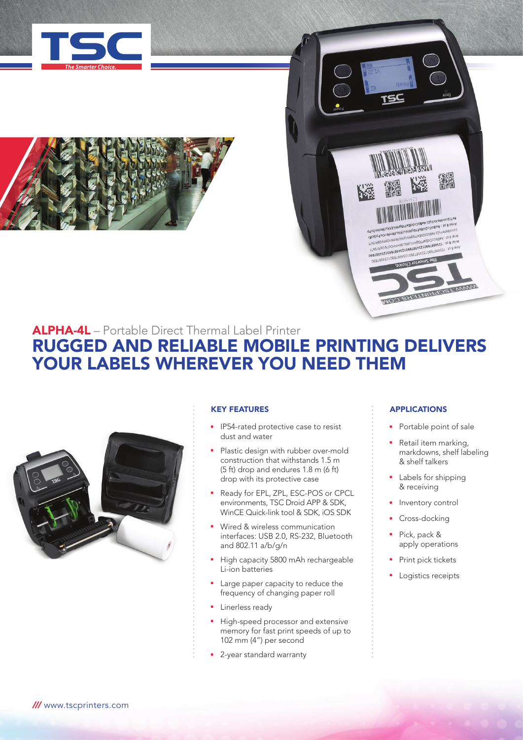





## ALPHA-4L – Portable Direct Thermal Label Printer RUGGED AND RELIABLE MOBILE PRINTING DELIVERS YOUR LABELS WHEREVER YOU NEED THEM



## KEY FEATURES

- **•** IP54-rated protective case to resist dust and water
- Plastic design with rubber over-mold construction that withstands 1.5 m (5 ft) drop and endures 1.8 m (6 ft) drop with its protective case
- Ready for EPL, ZPL, ESC-POS or CPCL environments, TSC Droid APP & SDK, WinCE Quick-link tool & SDK, iOS SDK
- **Nired & wireless communication** interfaces: USB 2.0, RS-232, Bluetooth and 802.11 a/b/g/n
- High capacity 5800 mAh rechargeable Li-ion batteries
- Large paper capacity to reduce the frequency of changing paper roll
- **Exercise Linerless ready**
- High-speed processor and extensive memory for fast print speeds of up to 102 mm (4") per second
- **2**-year standard warranty

## APPLICATIONS

- Portable point of sale
- **Retail item marking,** markdowns, shelf labeling & shelf talkers
- Labels for shipping & receiving
- Inventory control
- Cross-docking
- Pick, pack & apply operations
- Print pick tickets
- **Logistics receipts**